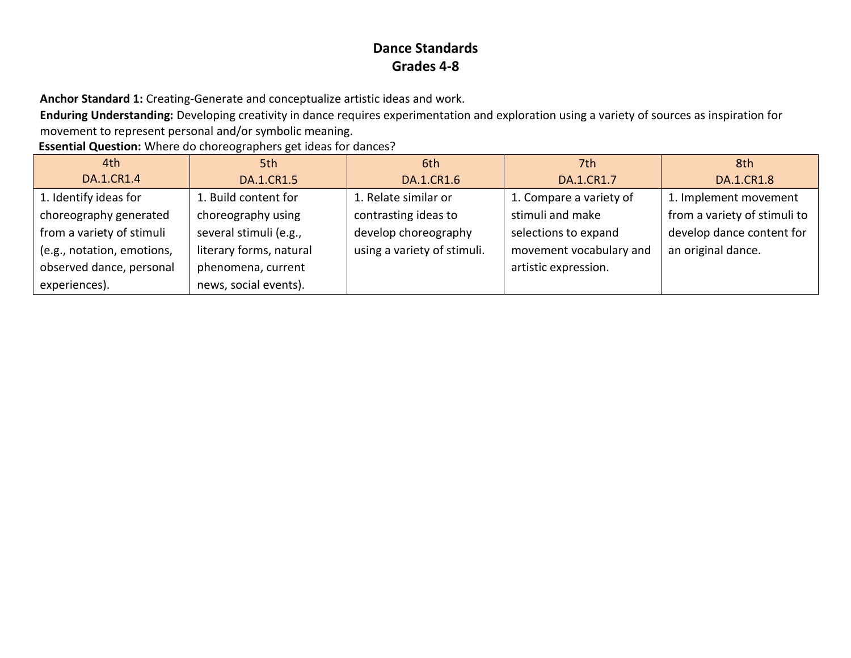**Anchor Standard 1:** Creating-Generate and conceptualize artistic ideas and work.

**Enduring Understanding:** Developing creativity in dance requires experimentation and exploration using a variety of sources as inspiration for movement to represent personal and/or symbolic meaning.

**Essential Question:** Where do choreographers get ideas for dances?

| 4th                        | 5th                     | 6th                         | 7th                     | 8th                          |
|----------------------------|-------------------------|-----------------------------|-------------------------|------------------------------|
| DA.1.CR1.4                 | DA.1.CR1.5              | DA.1.CR1.6                  | DA.1.CR1.7              | <b>DA.1.CR1.8</b>            |
| 1. Identify ideas for      | 1. Build content for    | 1. Relate similar or        | 1. Compare a variety of | 1. Implement movement        |
| choreography generated     | choreography using      | contrasting ideas to        | stimuli and make        | from a variety of stimuli to |
| from a variety of stimuli  | several stimuli (e.g.,  | develop choreography        | selections to expand    | develop dance content for    |
| (e.g., notation, emotions, | literary forms, natural | using a variety of stimuli. | movement vocabulary and | an original dance.           |
| observed dance, personal   | phenomena, current      |                             | artistic expression.    |                              |
| experiences).              | news, social events).   |                             |                         |                              |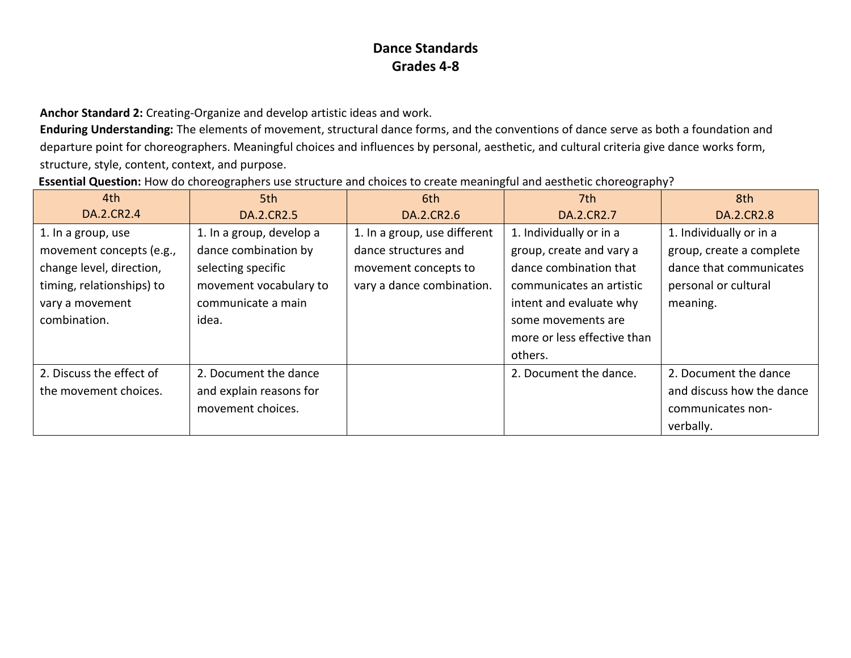**Anchor Standard 2:** Creating-Organize and develop artistic ideas and work.

**Enduring Understanding:** The elements of movement, structural dance forms, and the conventions of dance serve as both a foundation and departure point for choreographers. Meaningful choices and influences by personal, aesthetic, and cultural criteria give dance works form, structure, style, content, context, and purpose.

| Essential Question: How do choreographers use structure and choices to create meaningful and aesthetic choreography? |  |  |
|----------------------------------------------------------------------------------------------------------------------|--|--|
|----------------------------------------------------------------------------------------------------------------------|--|--|

| 4th                       | 5th                      | 6th                          | 7th                         | 8th                       |
|---------------------------|--------------------------|------------------------------|-----------------------------|---------------------------|
| DA.2.CR2.4                | DA.2.CR2.5               | DA.2.CR2.6                   | DA.2.CR2.7                  | DA.2.CR2.8                |
| 1. In a group, use        | 1. In a group, develop a | 1. In a group, use different | 1. Individually or in a     | 1. Individually or in a   |
| movement concepts (e.g.,  | dance combination by     | dance structures and         | group, create and vary a    | group, create a complete  |
| change level, direction,  | selecting specific       | movement concepts to         | dance combination that      | dance that communicates   |
| timing, relationships) to | movement vocabulary to   | vary a dance combination.    | communicates an artistic    | personal or cultural      |
| vary a movement           | communicate a main       |                              | intent and evaluate why     | meaning.                  |
| combination.              | idea.                    |                              | some movements are          |                           |
|                           |                          |                              | more or less effective than |                           |
|                           |                          |                              | others.                     |                           |
| 2. Discuss the effect of  | 2. Document the dance    |                              | 2. Document the dance.      | 2. Document the dance     |
| the movement choices.     | and explain reasons for  |                              |                             | and discuss how the dance |
|                           | movement choices.        |                              |                             | communicates non-         |
|                           |                          |                              |                             | verbally.                 |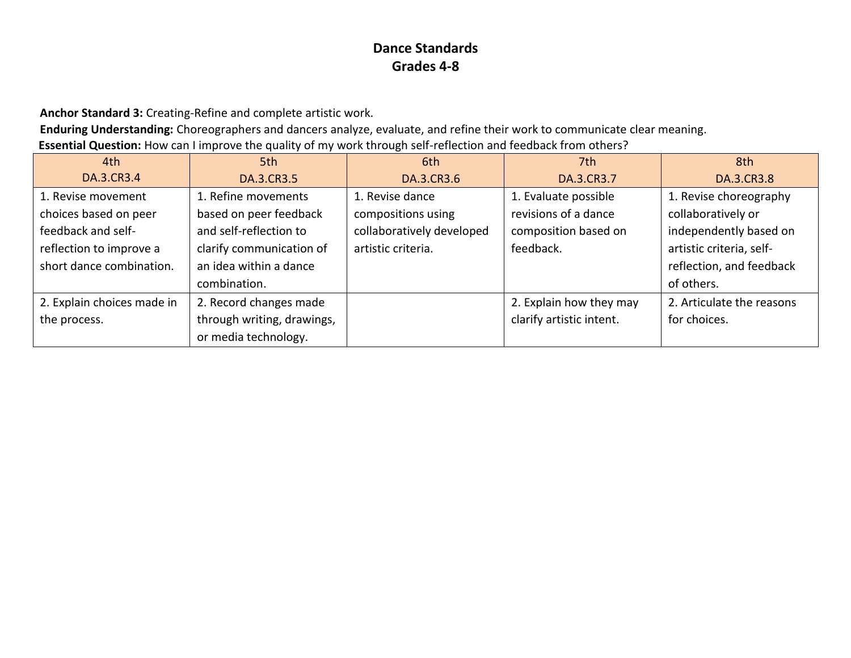**Anchor Standard 3:** Creating-Refine and complete artistic work.

**Enduring Understanding:** Choreographers and dancers analyze, evaluate, and refine their work to communicate clear meaning. **Essential Question:** How can I improve the quality of my work through self-reflection and feedback from others?

| 4th                        | 5th                        | 6th                       | 7th                      | 8th                       |
|----------------------------|----------------------------|---------------------------|--------------------------|---------------------------|
| DA.3.CR3.4                 | DA.3.CR3.5                 | DA.3.CR3.6                | DA.3.CR3.7               | DA.3.CR3.8                |
| 1. Revise movement         | 1. Refine movements        | 1. Revise dance           | 1. Evaluate possible     | 1. Revise choreography    |
| choices based on peer      | based on peer feedback     | compositions using        | revisions of a dance     | collaboratively or        |
| feedback and self-         | and self-reflection to     | collaboratively developed | composition based on     | independently based on    |
| reflection to improve a    | clarify communication of   | artistic criteria.        | feedback.                | artistic criteria, self-  |
| short dance combination.   | an idea within a dance     |                           |                          | reflection, and feedback  |
|                            | combination.               |                           |                          | of others.                |
| 2. Explain choices made in | 2. Record changes made     |                           | 2. Explain how they may  | 2. Articulate the reasons |
| the process.               | through writing, drawings, |                           | clarify artistic intent. | for choices.              |
|                            | or media technology.       |                           |                          |                           |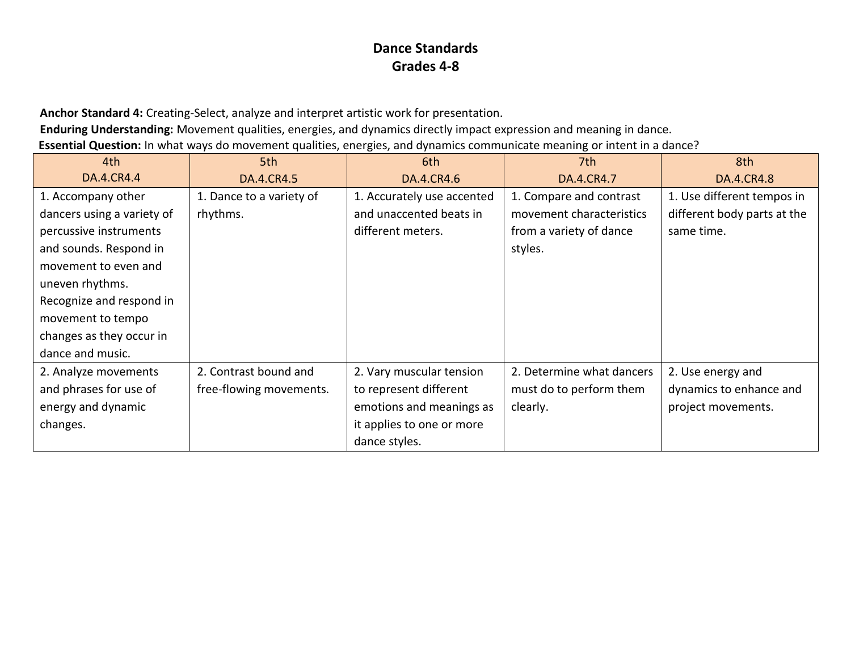**Anchor Standard 4:** Creating-Select, analyze and interpret artistic work for presentation.

**Enduring Understanding:** Movement qualities, energies, and dynamics directly impact expression and meaning in dance.

**Essential Question:** In what ways do movement qualities, energies, and dynamics communicate meaning or intent in a dance?

| 4th                        | 5th                      | 6th                        | 7th                       | 8th                         |
|----------------------------|--------------------------|----------------------------|---------------------------|-----------------------------|
| DA.4.CR4.4                 | DA.4.CR4.5               | DA.4.CR4.6                 | DA.4.CR4.7                | DA.4.CR4.8                  |
| 1. Accompany other         | 1. Dance to a variety of | 1. Accurately use accented | 1. Compare and contrast   | 1. Use different tempos in  |
| dancers using a variety of | rhythms.                 | and unaccented beats in    | movement characteristics  | different body parts at the |
| percussive instruments     |                          | different meters.          | from a variety of dance   | same time.                  |
| and sounds. Respond in     |                          |                            | styles.                   |                             |
| movement to even and       |                          |                            |                           |                             |
| uneven rhythms.            |                          |                            |                           |                             |
| Recognize and respond in   |                          |                            |                           |                             |
| movement to tempo          |                          |                            |                           |                             |
| changes as they occur in   |                          |                            |                           |                             |
| dance and music.           |                          |                            |                           |                             |
| 2. Analyze movements       | 2. Contrast bound and    | 2. Vary muscular tension   | 2. Determine what dancers | 2. Use energy and           |
| and phrases for use of     | free-flowing movements.  | to represent different     | must do to perform them   | dynamics to enhance and     |
| energy and dynamic         |                          | emotions and meanings as   | clearly.                  | project movements.          |
| changes.                   |                          | it applies to one or more  |                           |                             |
|                            |                          | dance styles.              |                           |                             |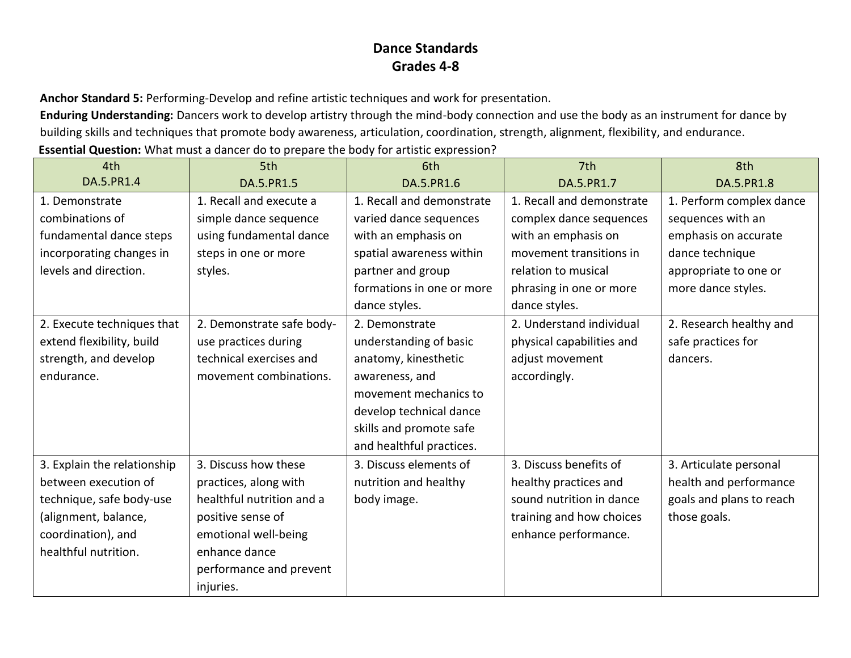**Anchor Standard 5:** Performing-Develop and refine artistic techniques and work for presentation.

**Enduring Understanding:** Dancers work to develop artistry through the mind-body connection and use the body as an instrument for dance by building skills and techniques that promote body awareness, articulation, coordination, strength, alignment, flexibility, and endurance. **Essential Question:** What must a dancer do to prepare the body for artistic expression?

| 4th                         | 5th                       | 6th                       | 7th                       | 8th                      |
|-----------------------------|---------------------------|---------------------------|---------------------------|--------------------------|
| DA.5.PR1.4                  | DA.5.PR1.5                | DA.5.PR1.6                | DA.5.PR1.7                | DA.5.PR1.8               |
| 1. Demonstrate              | 1. Recall and execute a   | 1. Recall and demonstrate | 1. Recall and demonstrate | 1. Perform complex dance |
| combinations of             | simple dance sequence     | varied dance sequences    | complex dance sequences   | sequences with an        |
| fundamental dance steps     | using fundamental dance   | with an emphasis on       | with an emphasis on       | emphasis on accurate     |
| incorporating changes in    | steps in one or more      | spatial awareness within  | movement transitions in   | dance technique          |
| levels and direction.       | styles.                   | partner and group         | relation to musical       | appropriate to one or    |
|                             |                           | formations in one or more | phrasing in one or more   | more dance styles.       |
|                             |                           | dance styles.             | dance styles.             |                          |
| 2. Execute techniques that  | 2. Demonstrate safe body- | 2. Demonstrate            | 2. Understand individual  | 2. Research healthy and  |
| extend flexibility, build   | use practices during      | understanding of basic    | physical capabilities and | safe practices for       |
| strength, and develop       | technical exercises and   | anatomy, kinesthetic      | adjust movement           | dancers.                 |
| endurance.                  | movement combinations.    | awareness, and            | accordingly.              |                          |
|                             |                           | movement mechanics to     |                           |                          |
|                             |                           | develop technical dance   |                           |                          |
|                             |                           | skills and promote safe   |                           |                          |
|                             |                           | and healthful practices.  |                           |                          |
| 3. Explain the relationship | 3. Discuss how these      | 3. Discuss elements of    | 3. Discuss benefits of    | 3. Articulate personal   |
| between execution of        | practices, along with     | nutrition and healthy     | healthy practices and     | health and performance   |
| technique, safe body-use    | healthful nutrition and a | body image.               | sound nutrition in dance  | goals and plans to reach |
| (alignment, balance,        | positive sense of         |                           | training and how choices  | those goals.             |
| coordination), and          | emotional well-being      |                           | enhance performance.      |                          |
| healthful nutrition.        | enhance dance             |                           |                           |                          |
|                             | performance and prevent   |                           |                           |                          |
|                             | injuries.                 |                           |                           |                          |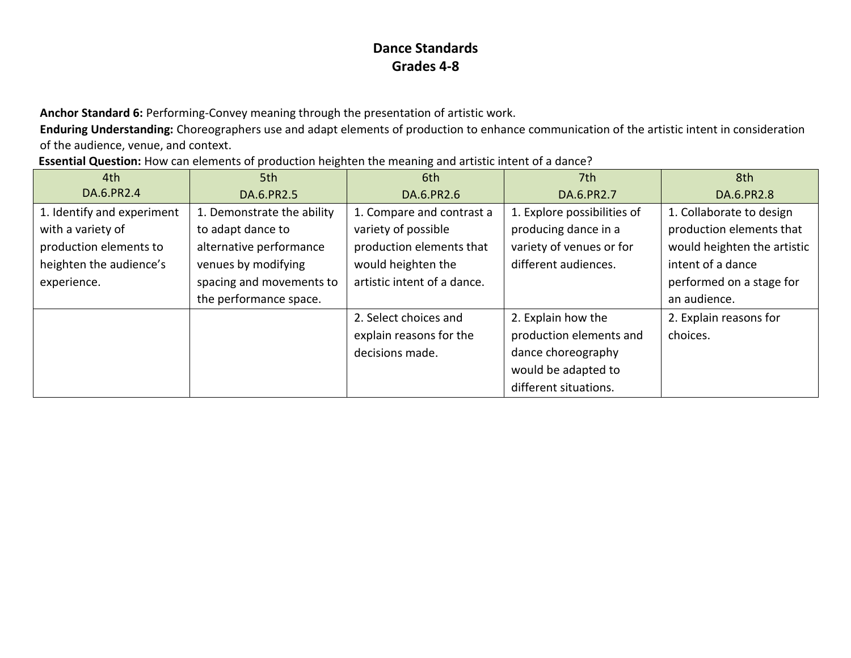**Anchor Standard 6:** Performing-Convey meaning through the presentation of artistic work.

**Enduring Understanding:** Choreographers use and adapt elements of production to enhance communication of the artistic intent in consideration of the audience, venue, and context.

| 4th                        | 5th                        | 6th                         | 7th                         | 8th                         |
|----------------------------|----------------------------|-----------------------------|-----------------------------|-----------------------------|
| DA.6.PR2.4                 | DA.6.PR2.5                 | DA.6.PR2.6                  | DA.6.PR2.7                  | DA.6.PR2.8                  |
| 1. Identify and experiment | 1. Demonstrate the ability | 1. Compare and contrast a   | 1. Explore possibilities of | 1. Collaborate to design    |
| with a variety of          | to adapt dance to          | variety of possible         | producing dance in a        | production elements that    |
| production elements to     | alternative performance    | production elements that    | variety of venues or for    | would heighten the artistic |
| heighten the audience's    | venues by modifying        | would heighten the          | different audiences.        | intent of a dance           |
| experience.                | spacing and movements to   | artistic intent of a dance. |                             | performed on a stage for    |
|                            | the performance space.     |                             |                             | an audience.                |
|                            |                            | 2. Select choices and       | 2. Explain how the          | 2. Explain reasons for      |
|                            |                            | explain reasons for the     | production elements and     | choices.                    |
|                            |                            | decisions made.             | dance choreography          |                             |
|                            |                            |                             | would be adapted to         |                             |
|                            |                            |                             | different situations.       |                             |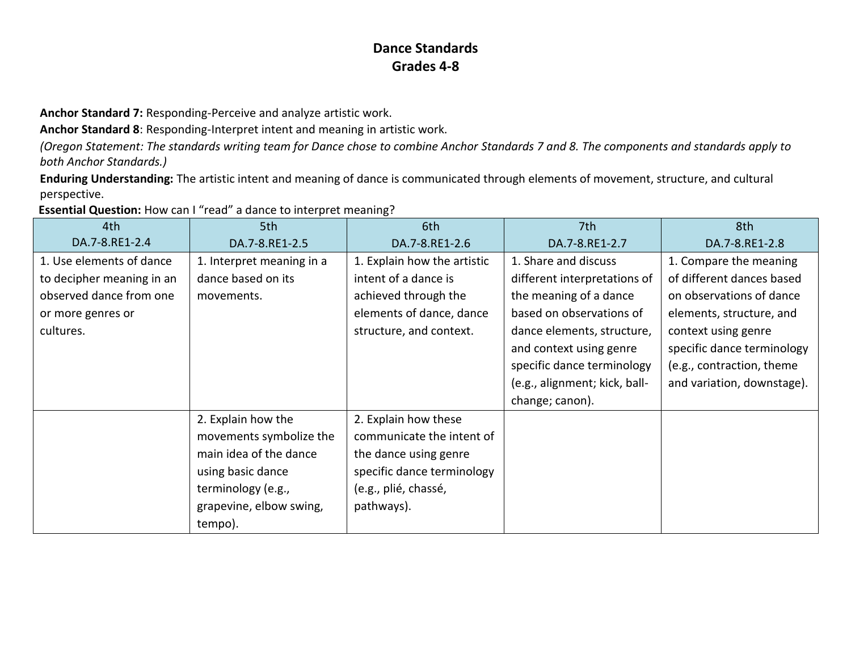**Anchor Standard 7:** Responding-Perceive and analyze artistic work.

**Anchor Standard 8**: Responding-Interpret intent and meaning in artistic work.

*(Oregon Statement: The standards writing team for Dance chose to combine Anchor Standards 7 and 8. The components and standards apply to both Anchor Standards.)*

**Enduring Understanding:** The artistic intent and meaning of dance is communicated through elements of movement, structure, and cultural perspective.

| 4th                       | 5th                       | 6th                         | 7th                           | 8th                        |
|---------------------------|---------------------------|-----------------------------|-------------------------------|----------------------------|
| DA.7-8.RE1-2.4            | DA.7-8.RE1-2.5            | DA.7-8.RE1-2.6              | DA.7-8.RE1-2.7                | DA.7-8.RE1-2.8             |
| 1. Use elements of dance  | 1. Interpret meaning in a | 1. Explain how the artistic | 1. Share and discuss          | 1. Compare the meaning     |
| to decipher meaning in an | dance based on its        | intent of a dance is        | different interpretations of  | of different dances based  |
| observed dance from one   | movements.                | achieved through the        | the meaning of a dance        | on observations of dance   |
| or more genres or         |                           | elements of dance, dance    | based on observations of      | elements, structure, and   |
| cultures.                 |                           | structure, and context.     | dance elements, structure,    | context using genre        |
|                           |                           |                             | and context using genre       | specific dance terminology |
|                           |                           |                             | specific dance terminology    | (e.g., contraction, theme  |
|                           |                           |                             | (e.g., alignment; kick, ball- | and variation, downstage). |
|                           |                           |                             | change; canon).               |                            |
|                           | 2. Explain how the        | 2. Explain how these        |                               |                            |
|                           | movements symbolize the   | communicate the intent of   |                               |                            |
|                           | main idea of the dance    | the dance using genre       |                               |                            |
|                           | using basic dance         | specific dance terminology  |                               |                            |
|                           | terminology (e.g.,        | (e.g., plié, chassé,        |                               |                            |
|                           | grapevine, elbow swing,   | pathways).                  |                               |                            |
|                           | tempo).                   |                             |                               |                            |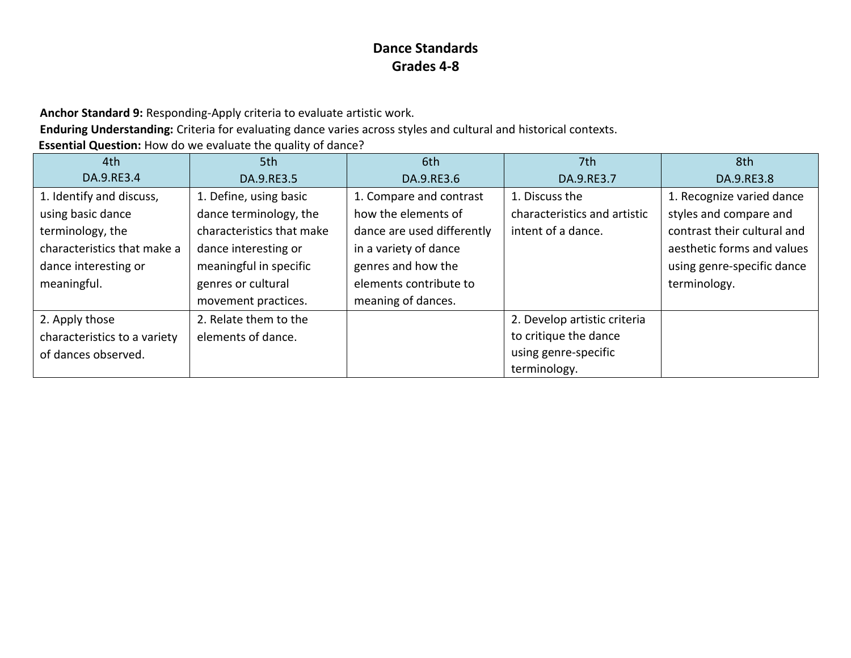**Anchor Standard 9:** Responding-Apply criteria to evaluate artistic work.

**Enduring Understanding:** Criteria for evaluating dance varies across styles and cultural and historical contexts.

**Essential Question:** How do we evaluate the quality of dance?

| 4th                          | 5th                       | 6th                        | 7th                          | 8th                         |
|------------------------------|---------------------------|----------------------------|------------------------------|-----------------------------|
| DA.9.RE3.4                   | DA.9.RE3.5                | DA.9.RE3.6                 | DA.9.RE3.7                   | DA.9.RE3.8                  |
| 1. Identify and discuss,     | 1. Define, using basic    | 1. Compare and contrast    | 1. Discuss the               | 1. Recognize varied dance   |
| using basic dance            | dance terminology, the    | how the elements of        | characteristics and artistic | styles and compare and      |
| terminology, the             | characteristics that make | dance are used differently | intent of a dance.           | contrast their cultural and |
| characteristics that make a  | dance interesting or      | in a variety of dance      |                              | aesthetic forms and values  |
| dance interesting or         | meaningful in specific    | genres and how the         |                              | using genre-specific dance  |
| meaningful.                  | genres or cultural        | elements contribute to     |                              | terminology.                |
|                              | movement practices.       | meaning of dances.         |                              |                             |
| 2. Apply those               | 2. Relate them to the     |                            | 2. Develop artistic criteria |                             |
| characteristics to a variety | elements of dance.        |                            | to critique the dance        |                             |
| of dances observed.          |                           |                            | using genre-specific         |                             |
|                              |                           |                            | terminology.                 |                             |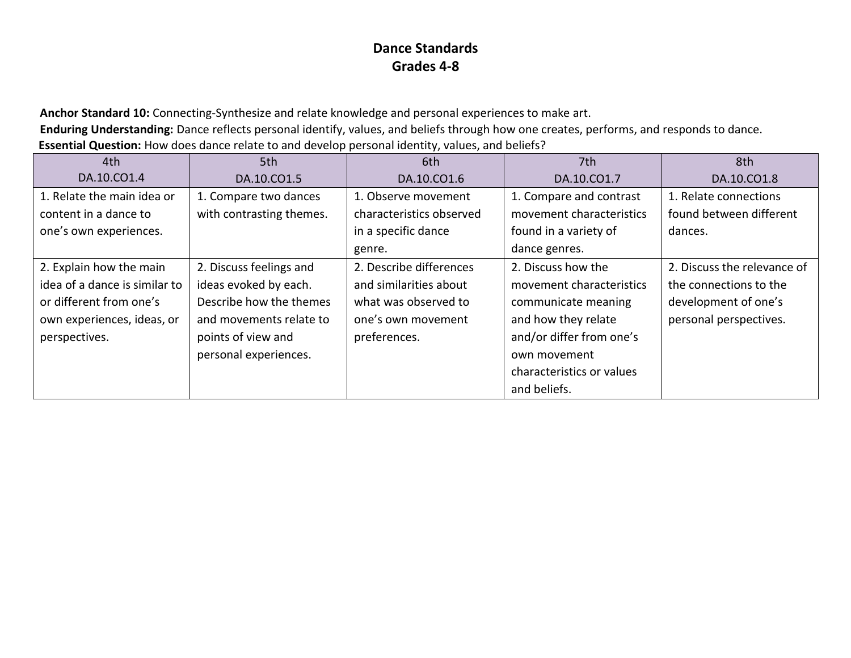**Anchor Standard 10:** Connecting-Synthesize and relate knowledge and personal experiences to make art. **Enduring Understanding:** Dance reflects personal identify, values, and beliefs through how one creates, performs, and responds to dance. **Essential Question:** How does dance relate to and develop personal identity, values, and beliefs?

| 4th                           | 5th                      | 6th                      | 7th                       | 8th                         |
|-------------------------------|--------------------------|--------------------------|---------------------------|-----------------------------|
| DA.10.CO1.4                   | DA.10.CO1.5              | DA.10.CO1.6              | DA.10.CO1.7               | DA.10.CO1.8                 |
| 1. Relate the main idea or    | 1. Compare two dances    | 1. Observe movement      | 1. Compare and contrast   | 1. Relate connections       |
| content in a dance to         | with contrasting themes. | characteristics observed | movement characteristics  | found between different     |
| one's own experiences.        |                          | in a specific dance      | found in a variety of     | dances.                     |
|                               |                          | genre.                   | dance genres.             |                             |
| 2. Explain how the main       | 2. Discuss feelings and  | 2. Describe differences  | 2. Discuss how the        | 2. Discuss the relevance of |
| idea of a dance is similar to | ideas evoked by each.    | and similarities about   | movement characteristics  | the connections to the      |
| or different from one's       | Describe how the themes  | what was observed to     | communicate meaning       | development of one's        |
| own experiences, ideas, or    | and movements relate to  | one's own movement       | and how they relate       | personal perspectives.      |
| perspectives.                 | points of view and       | preferences.             | and/or differ from one's  |                             |
|                               | personal experiences.    |                          | own movement              |                             |
|                               |                          |                          | characteristics or values |                             |
|                               |                          |                          | and beliefs.              |                             |